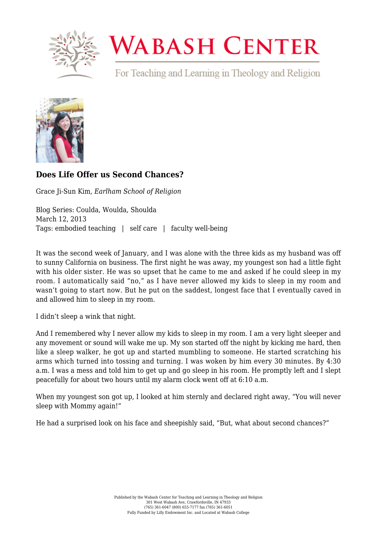

## **WABASH CENTER**

For Teaching and Learning in Theology and Religion



## **[Does Life Offer us Second Chances?](https://www.wabashcenter.wabash.edu/2013/03/does-life-offer-us-second-chances/)**

Grace Ji-Sun Kim, *Earlham School of Religion*

Blog Series: Coulda, Woulda, Shoulda March 12, 2013 Tags: embodied teaching | self care | faculty well-being

It was the second week of January, and I was alone with the three kids as my husband was off to sunny California on business. The first night he was away, my youngest son had a little fight with his older sister. He was so upset that he came to me and asked if he could sleep in my room. I automatically said "no," as I have never allowed my kids to sleep in my room and wasn't going to start now. But he put on the saddest, longest face that I eventually caved in and allowed him to sleep in my room.

I didn't sleep a wink that night.

And I remembered why I never allow my kids to sleep in my room. I am a very light sleeper and any movement or sound will wake me up. My son started off the night by kicking me hard, then like a sleep walker, he got up and started mumbling to someone. He started scratching his arms which turned into tossing and turning. I was woken by him every 30 minutes. By 4:30 a.m. I was a mess and told him to get up and go sleep in his room. He promptly left and I slept peacefully for about two hours until my alarm clock went off at 6:10 a.m.

When my youngest son got up, I looked at him sternly and declared right away, "You will never sleep with Mommy again!"

He had a surprised look on his face and sheepishly said, "But, what about second chances?"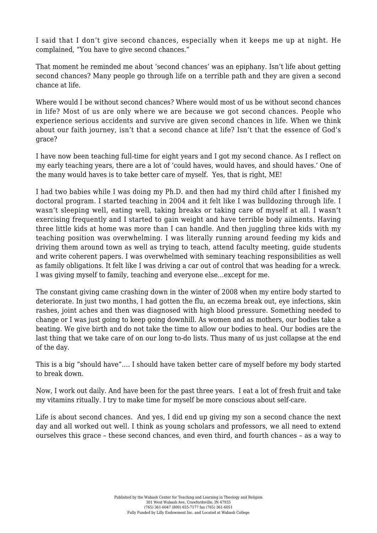I said that I don't give second chances, especially when it keeps me up at night. He complained, "You have to give second chances."

That moment he reminded me about 'second chances' was an epiphany. Isn't life about getting second chances? Many people go through life on a terrible path and they are given a second chance at life.

Where would I be without second chances? Where would most of us be without second chances in life? Most of us are only where we are because we got second chances. People who experience serious accidents and survive are given second chances in life. When we think about our faith journey, isn't that a second chance at life? Isn't that the essence of God's grace?

I have now been teaching full-time for eight years and I got my second chance. As I reflect on my early teaching years, there are a lot of 'could haves, would haves, and should haves.' One of the many would haves is to take better care of myself. Yes, that is right, ME!

I had two babies while I was doing my Ph.D. and then had my third child after I finished my doctoral program. I started teaching in 2004 and it felt like I was bulldozing through life. I wasn't sleeping well, eating well, taking breaks or taking care of myself at all. I wasn't exercising frequently and I started to gain weight and have terrible body ailments. Having three little kids at home was more than I can handle. And then juggling three kids with my teaching position was overwhelming. I was literally running around feeding my kids and driving them around town as well as trying to teach, attend faculty meeting, guide students and write coherent papers. I was overwhelmed with seminary teaching responsibilities as well as family obligations. It felt like I was driving a car out of control that was heading for a wreck. I was giving myself to family, teaching and everyone else…except for me.

The constant giving came crashing down in the winter of 2008 when my entire body started to deteriorate. In just two months, I had gotten the flu, an eczema break out, eye infections, skin rashes, joint aches and then was diagnosed with high blood pressure. Something needed to change or I was just going to keep going downhill. As women and as mothers, our bodies take a beating. We give birth and do not take the time to allow our bodies to heal. Our bodies are the last thing that we take care of on our long to-do lists. Thus many of us just collapse at the end of the day.

This is a big "should have"…. I should have taken better care of myself before my body started to break down.

Now, I work out daily. And have been for the past three years. I eat a lot of fresh fruit and take my vitamins ritually. I try to make time for myself be more conscious about self-care.

Life is about second chances. And yes, I did end up giving my son a second chance the next day and all worked out well. I think as young scholars and professors, we all need to extend ourselves this grace – these second chances, and even third, and fourth chances – as a way to